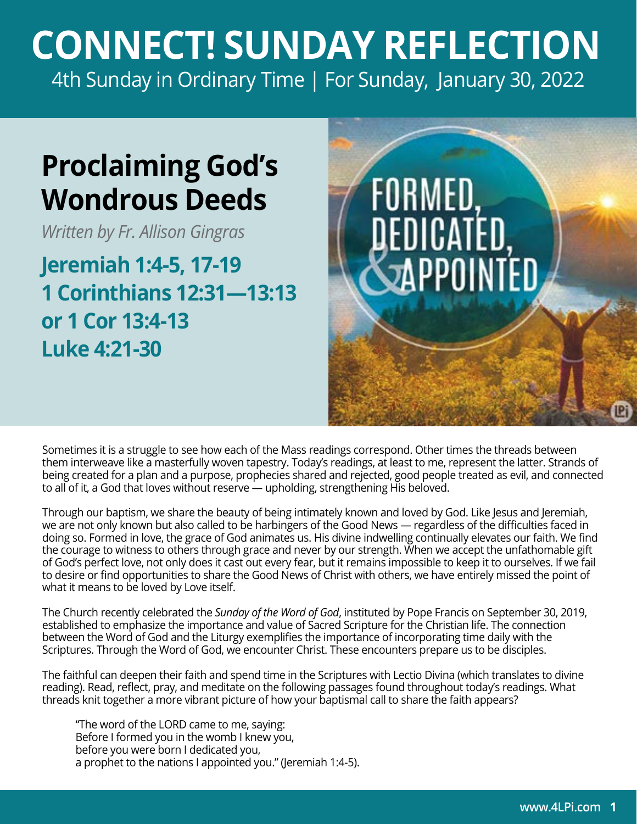## **CONNECT! SUNDAY REFLECTION** [4th Sunday in Ordinary Time | For Sunday, January 30, 2022](https://bible.usccb.org/bible/readings/013022.cfm)

## **Proclaiming God's Wondrous Deeds**

*Written by Fr. Allison Gingras*

**Jeremiah 1:4-5, 17-19 1 Corinthians 12:31—13:13 or 1 Cor 13:4-13 Luke 4:21-30**



Sometimes it is a struggle to see how each of the Mass readings correspond. Other times the threads between them interweave like a masterfully woven tapestry. Today's readings, at least to me, represent the latter. Strands of being created for a plan and a purpose, prophecies shared and rejected, good people treated as evil, and connected to all of it, a God that loves without reserve — upholding, strengthening His beloved.

Through our baptism, we share the beauty of being intimately known and loved by God. Like Jesus and Jeremiah, we are not only known but also called to be harbingers of the Good News — regardless of the difficulties faced in doing so. Formed in love, the grace of God animates us. His divine indwelling continually elevates our faith. We find the courage to witness to others through grace and never by our strength. When we accept the unfathomable gift of God's perfect love, not only does it cast out every fear, but it remains impossible to keep it to ourselves. If we fail to desire or find opportunities to share the Good News of Christ with others, we have entirely missed the point of what it means to be loved by Love itself.

The Church recently celebrated the *Sunday of the Word of God*, instituted by Pope Francis on September 30, 2019, established to emphasize the importance and value of Sacred Scripture for the Christian life. The connection between the Word of God and the Liturgy exemplifies the importance of incorporating time daily with the Scriptures. Through the Word of God, we encounter Christ. These encounters prepare us to be disciples.

The faithful can deepen their faith and spend time in the Scriptures with Lectio Divina (which translates to divine reading). Read, reflect, pray, and meditate on the following passages found throughout today's readings. What threads knit together a more vibrant picture of how your baptismal call to share the faith appears?

"The word of the LORD came to me, saying: Before I formed you in the womb I knew you, before you were born I dedicated you, a prophet to the nations I appointed you." (Jeremiah 1:4-5).